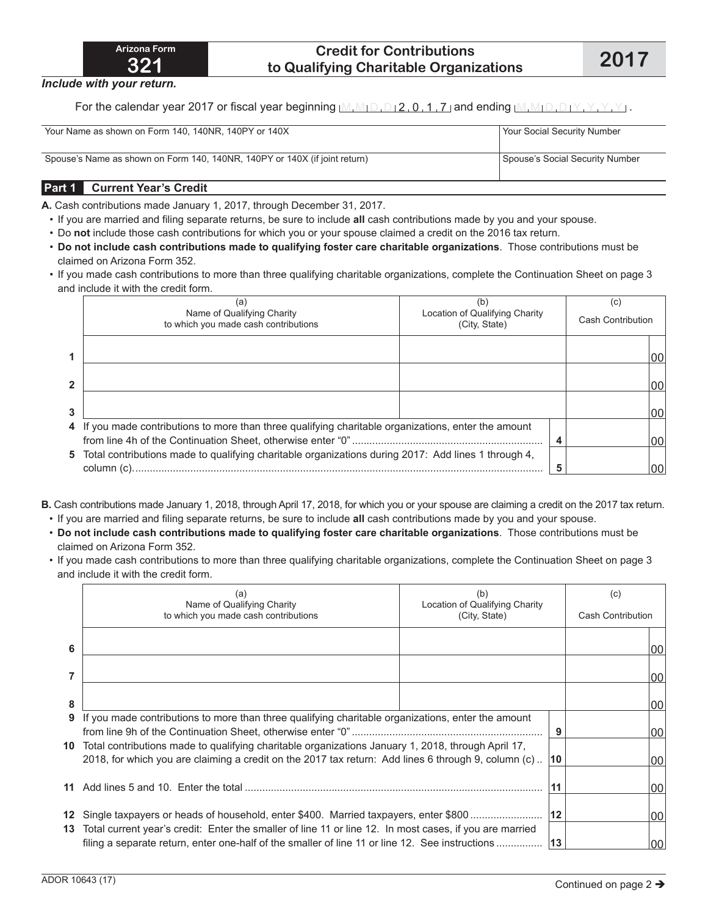### **Credit for Contributions to Qualifying Charitable Organizations 2017**

*Include with your return.*

For the calendar year 2017 or fiscal year beginning  $[M, M_1 D, D_1 2, 0, 1, 7]$  and ending  $[M, M_1 D, D_1 Y, Y, Y, Y]$ .

| Your Name as shown on Form 140, 140NR, 140PY or 140X                       | Your Social Security Number     |
|----------------------------------------------------------------------------|---------------------------------|
| Spouse's Name as shown on Form 140, 140NR, 140PY or 140X (if joint return) | Spouse's Social Security Number |

### **Part 1 Current Year's Credit**

**A.** Cash contributions made January 1, 2017, through December 31, 2017.

- If you are married and filing separate returns, be sure to include **all** cash contributions made by you and your spouse.
- Do **not** include those cash contributions for which you or your spouse claimed a credit on the 2016 tax return.
- **Do not include cash contributions made to qualifying foster care charitable organizations**. Those contributions must be claimed on Arizona Form 352.
- If you made cash contributions to more than three qualifying charitable organizations, complete the Continuation Sheet on page 3 and include it with the credit form.

| (a)<br>Name of Qualifying Charity<br>to which you made cash contributions                             | (b)<br>Location of Qualifying Charity<br>(City, State) | (C)<br>Cash Contribution |  |
|-------------------------------------------------------------------------------------------------------|--------------------------------------------------------|--------------------------|--|
|                                                                                                       |                                                        | 100                      |  |
|                                                                                                       |                                                        | 100                      |  |
|                                                                                                       |                                                        | 00                       |  |
| 4 If you made contributions to more than three qualifying charitable organizations, enter the amount  |                                                        | 100                      |  |
| 5 Total contributions made to qualifying charitable organizations during 2017: Add lines 1 through 4, |                                                        | 00                       |  |

- **B.** Cash contributions made January 1, 2018, through April 17, 2018, for which you or your spouse are claiming a credit on the 2017 tax return.
	- If you are married and filing separate returns, be sure to include **all** cash contributions made by you and your spouse.
	- **Do not include cash contributions made to qualifying foster care charitable organizations**. Those contributions must be claimed on Arizona Form 352.
	- If you made cash contributions to more than three qualifying charitable organizations, complete the Continuation Sheet on page 3 and include it with the credit form.

|        | (a)<br>Name of Qualifying Charity<br>to which you made cash contributions                                                                                                                                                | (b)<br>Location of Qualifying Charity<br>(City, State) |    | (c)<br><b>Cash Contribution</b> |                 |
|--------|--------------------------------------------------------------------------------------------------------------------------------------------------------------------------------------------------------------------------|--------------------------------------------------------|----|---------------------------------|-----------------|
| 6      |                                                                                                                                                                                                                          |                                                        |    |                                 | 00              |
|        |                                                                                                                                                                                                                          |                                                        |    |                                 | 00              |
| 8<br>9 |                                                                                                                                                                                                                          |                                                        |    |                                 | 00              |
|        | If you made contributions to more than three qualifying charitable organizations, enter the amount                                                                                                                       |                                                        | 9  |                                 | 00              |
|        | 10 Total contributions made to qualifying charitable organizations January 1, 2018, through April 17,<br>2018, for which you are claiming a credit on the 2017 tax return: Add lines 6 through 9, column (c). $\vert$ 10 |                                                        |    | 00                              |                 |
|        |                                                                                                                                                                                                                          |                                                        |    |                                 | 00              |
|        | 12 Single taxpayers or heads of household, enter \$400. Married taxpayers, enter \$800<br>13 Total current year's credit: Enter the smaller of line 11 or line 12. In most cases, if you are married                     |                                                        | 12 |                                 | 00              |
|        | filing a separate return, enter one-half of the smaller of line 11 or line 12. See instructions   13                                                                                                                     |                                                        |    |                                 | 00 <sup>1</sup> |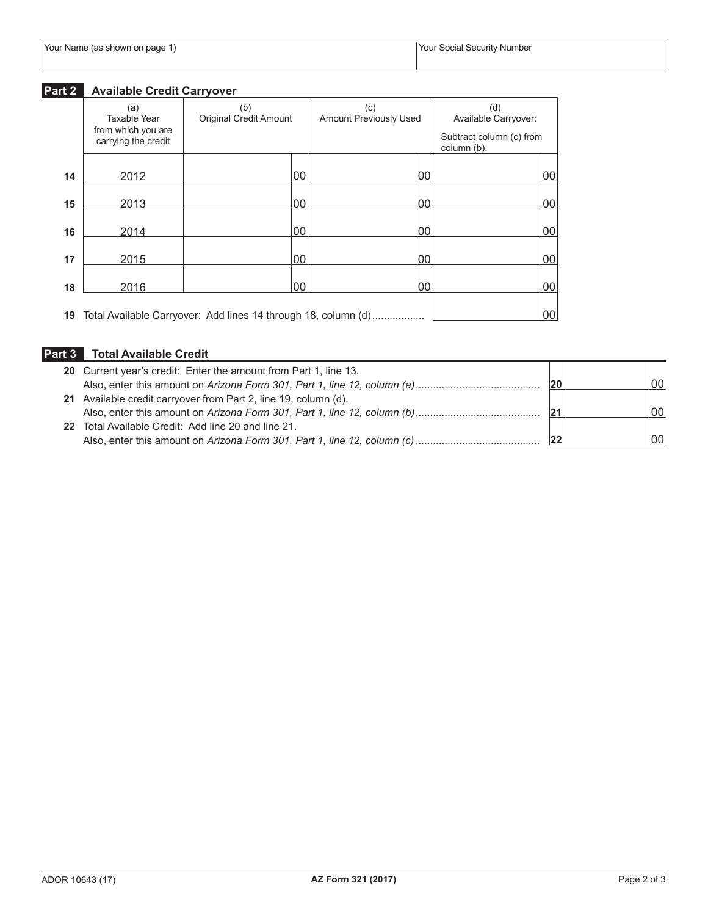|  |  | Your Name (as shown on page 1) |
|--|--|--------------------------------|
|--|--|--------------------------------|

# **Part 2 Available Credit Carryover**

|    | (a)<br>Taxable Year                       | (b)<br><b>Original Credit Amount</b>                              | (c)<br><b>Amount Previously Used</b> |        | (d)<br>Available Carryover:             |    |
|----|-------------------------------------------|-------------------------------------------------------------------|--------------------------------------|--------|-----------------------------------------|----|
|    | from which you are<br>carrying the credit |                                                                   |                                      |        | Subtract column (c) from<br>column (b). |    |
| 14 | 2012                                      | 00                                                                |                                      | 00     |                                         | 00 |
| 15 | 2013                                      | 00                                                                |                                      | $00\,$ |                                         | 00 |
| 16 | 2014                                      | 00                                                                |                                      | 00     |                                         | 00 |
| 17 | 2015                                      | 00                                                                |                                      | 00     |                                         | 00 |
| 18 | 2016                                      | 00                                                                |                                      | 00     |                                         | 00 |
|    |                                           | 19 Total Available Carryover: Add lines 14 through 18, column (d) |                                      |        |                                         | 00 |

## **Part 3 Total Available Credit**

| 20 Current year's credit: Enter the amount from Part 1, line 13. |    |    |
|------------------------------------------------------------------|----|----|
|                                                                  | 20 | 00 |
| 21 Available credit carryover from Part 2, line 19, column (d).  |    |    |
|                                                                  |    | 00 |
| 22 Total Available Credit: Add line 20 and line 21.              |    |    |
|                                                                  |    | 00 |